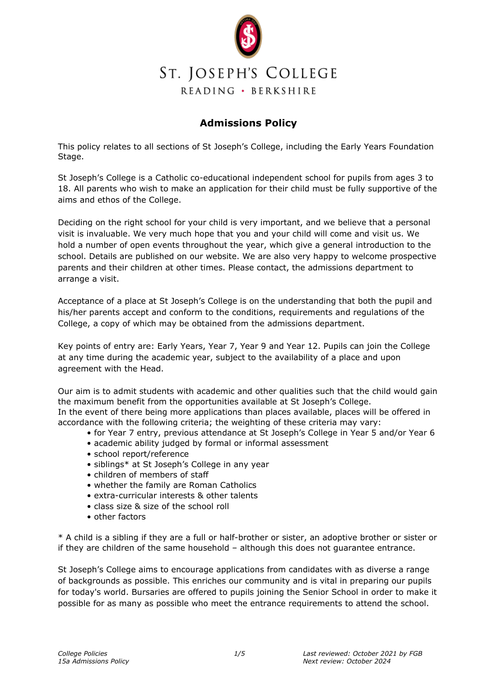

### **Admissions Policy**

This policy relates to all sections of St Joseph's College, including the Early Years Foundation Stage.

St Joseph's College is a Catholic co-educational independent school for pupils from ages 3 to 18. All parents who wish to make an application for their child must be fully supportive of the aims and ethos of the College.

Deciding on the right school for your child is very important, and we believe that a personal visit is invaluable. We very much hope that you and your child will come and visit us. We hold a number of open events throughout the year, which give a general introduction to the school. Details are published on our website. We are also very happy to welcome prospective parents and their children at other times. Please contact, the admissions department to arrange a visit.

Acceptance of a place at St Joseph's College is on the understanding that both the pupil and his/her parents accept and conform to the conditions, requirements and regulations of the College, a copy of which may be obtained from the admissions department.

Key points of entry are: Early Years, Year 7, Year 9 and Year 12. Pupils can join the College at any time during the academic year, subject to the availability of a place and upon agreement with the Head.

Our aim is to admit students with academic and other qualities such that the child would gain the maximum benefit from the opportunities available at St Joseph's College. In the event of there being more applications than places available, places will be offered in accordance with the following criteria; the weighting of these criteria may vary:

- for Year 7 entry, previous attendance at St Joseph's College in Year 5 and/or Year 6
- academic ability judged by formal or informal assessment
- school report/reference
- siblings\* at St Joseph's College in any year
- children of members of staff
- whether the family are Roman Catholics
- extra-curricular interests & other talents
- class size & size of the school roll
- other factors

\* A child is a sibling if they are a full or half-brother or sister, an adoptive brother or sister or if they are children of the same household – although this does not guarantee entrance.

St Joseph's College aims to encourage applications from candidates with as diverse a range of backgrounds as possible. This enriches our community and is vital in preparing our pupils for today's world. Bursaries are offered to pupils joining the Senior School in order to make it possible for as many as possible who meet the entrance requirements to attend the school.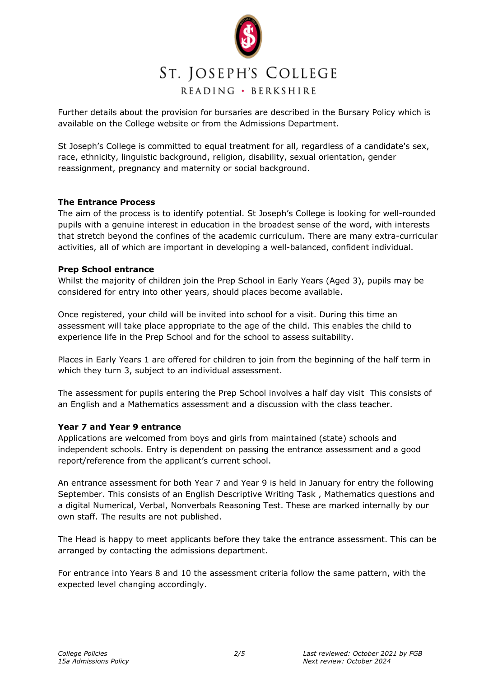

Further details about the provision for bursaries are described in the Bursary Policy which is available on the College website or from the Admissions Department.

St Joseph's College is committed to equal treatment for all, regardless of a candidate's sex, race, ethnicity, linguistic background, religion, disability, sexual orientation, gender reassignment, pregnancy and maternity or social background.

#### **The Entrance Process**

The aim of the process is to identify potential. St Joseph's College is looking for well-rounded pupils with a genuine interest in education in the broadest sense of the word, with interests that stretch beyond the confines of the academic curriculum. There are many extra-curricular activities, all of which are important in developing a well-balanced, confident individual.

#### **Prep School entrance**

Whilst the majority of children join the Prep School in Early Years (Aged 3), pupils may be considered for entry into other years, should places become available.

Once registered, your child will be invited into school for a visit. During this time an assessment will take place appropriate to the age of the child. This enables the child to experience life in the Prep School and for the school to assess suitability.

Places in Early Years 1 are offered for children to join from the beginning of the half term in which they turn 3, subject to an individual assessment.

The assessment for pupils entering the Prep School involves a half day visit This consists of an English and a Mathematics assessment and a discussion with the class teacher.

#### **Year 7 and Year 9 entrance**

Applications are welcomed from boys and girls from maintained (state) schools and independent schools. Entry is dependent on passing the entrance assessment and a good report/reference from the applicant's current school.

An entrance assessment for both Year 7 and Year 9 is held in January for entry the following September. This consists of an English Descriptive Writing Task , Mathematics questions and a digital Numerical, Verbal, Nonverbals Reasoning Test. These are marked internally by our own staff. The results are not published.

The Head is happy to meet applicants before they take the entrance assessment. This can be arranged by contacting the admissions department.

For entrance into Years 8 and 10 the assessment criteria follow the same pattern, with the expected level changing accordingly.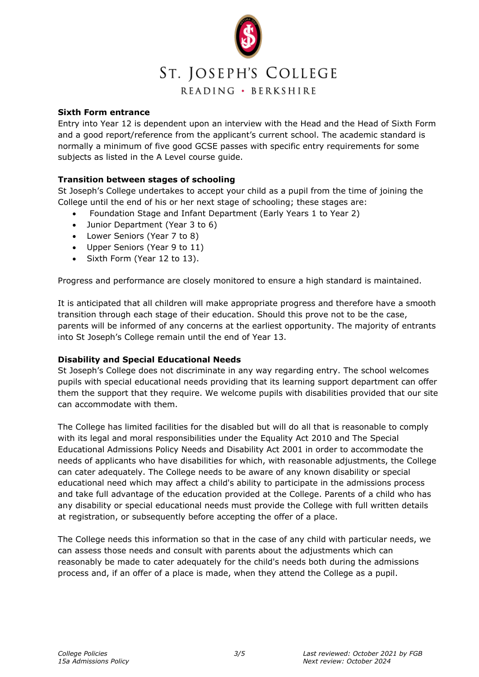

#### **Sixth Form entrance**

Entry into Year 12 is dependent upon an interview with the Head and the Head of Sixth Form and a good report/reference from the applicant's current school. The academic standard is normally a minimum of five good GCSE passes with specific entry requirements for some subjects as listed in the A Level course guide.

#### **Transition between stages of schooling**

St Joseph's College undertakes to accept your child as a pupil from the time of joining the College until the end of his or her next stage of schooling; these stages are:

- Foundation Stage and Infant Department (Early Years 1 to Year 2)
- Junior Department (Year 3 to 6)
- Lower Seniors (Year 7 to 8)
- Upper Seniors (Year 9 to 11)
- Sixth Form (Year 12 to 13).

Progress and performance are closely monitored to ensure a high standard is maintained.

It is anticipated that all children will make appropriate progress and therefore have a smooth transition through each stage of their education. Should this prove not to be the case, parents will be informed of any concerns at the earliest opportunity. The majority of entrants into St Joseph's College remain until the end of Year 13.

#### **Disability and Special Educational Needs**

St Joseph's College does not discriminate in any way regarding entry. The school welcomes pupils with special educational needs providing that its learning support department can offer them the support that they require. We welcome pupils with disabilities provided that our site can accommodate with them.

The College has limited facilities for the disabled but will do all that is reasonable to comply with its legal and moral responsibilities under the Equality Act 2010 and The Special Educational Admissions Policy Needs and Disability Act 2001 in order to accommodate the needs of applicants who have disabilities for which, with reasonable adjustments, the College can cater adequately. The College needs to be aware of any known disability or special educational need which may affect a child's ability to participate in the admissions process and take full advantage of the education provided at the College. Parents of a child who has any disability or special educational needs must provide the College with full written details at registration, or subsequently before accepting the offer of a place.

The College needs this information so that in the case of any child with particular needs, we can assess those needs and consult with parents about the adjustments which can reasonably be made to cater adequately for the child's needs both during the admissions process and, if an offer of a place is made, when they attend the College as a pupil.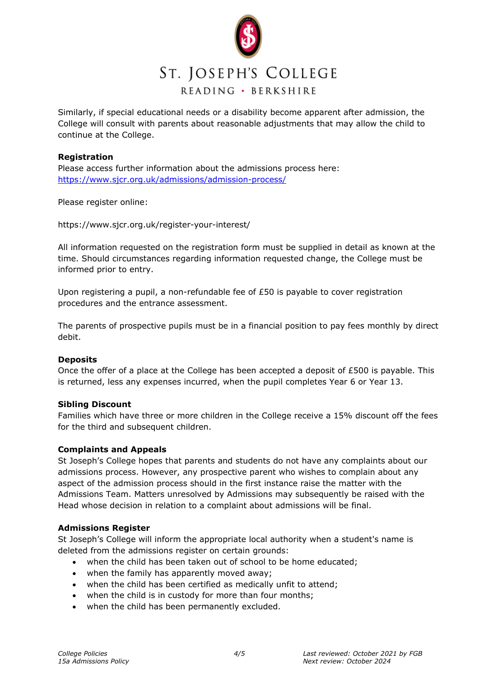

Similarly, if special educational needs or a disability become apparent after admission, the College will consult with parents about reasonable adjustments that may allow the child to continue at the College.

#### **Registration**

Please access further information about the admissions process here: <https://www.sjcr.org.uk/admissions/admission-process/>

Please register online:

https://www.sjcr.org.uk/register-your-interest/

All information requested on the registration form must be supplied in detail as known at the time. Should circumstances regarding information requested change, the College must be informed prior to entry.

Upon registering a pupil, a non-refundable fee of  $£50$  is payable to cover registration procedures and the entrance assessment.

The parents of prospective pupils must be in a financial position to pay fees monthly by direct debit.

#### **Deposits**

Once the offer of a place at the College has been accepted a deposit of £500 is payable. This is returned, less any expenses incurred, when the pupil completes Year 6 or Year 13.

#### **Sibling Discount**

Families which have three or more children in the College receive a 15% discount off the fees for the third and subsequent children.

#### **Complaints and Appeals**

St Joseph's College hopes that parents and students do not have any complaints about our admissions process. However, any prospective parent who wishes to complain about any aspect of the admission process should in the first instance raise the matter with the Admissions Team. Matters unresolved by Admissions may subsequently be raised with the Head whose decision in relation to a complaint about admissions will be final.

#### **Admissions Register**

St Joseph's College will inform the appropriate local authority when a student's name is deleted from the admissions register on certain grounds:

- when the child has been taken out of school to be home educated;
- when the family has apparently moved away;
- when the child has been certified as medically unfit to attend;
- when the child is in custody for more than four months;
- when the child has been permanently excluded.